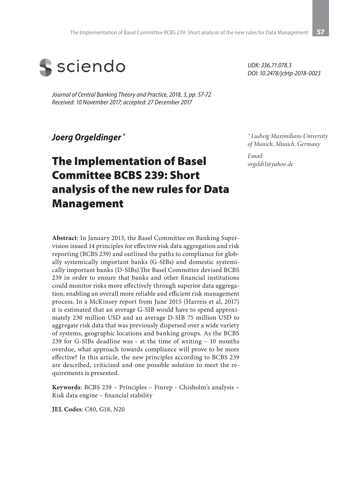

*Journal of Central Banking Theory and Practice, 2018, 3, pp. 57-72 Received: 10 November 2017; accepted: 27 December 2017*

#### *Joerg Orgeldinger \**

# The Implementation of Basel Committee BCBS 239: Short analysis of the new rules for Data Management

**Abstract**: In January 2013, the Basel Committee on Banking Supervision issued 14 principles for effective risk data aggregation and risk reporting (BCBS 239) and outlined the paths to compliance for globally systemically important banks (G-SIBs) and domestic systemically important banks (D-SIBs).The Basel Committee devised BCBS 239 in order to ensure that banks and other financial institutions could monitor risks more effectively through superior data aggregation, enabling an overall more reliable and efficient risk management process. In a McKinsey report from June 2015 (Harreis et al, 2017) it is estimated that an average G-SIB would have to spend approximately 230 million USD and an average D-SIB 75 million USD to aggregate risk data that was previously dispersed over a wide variety of systems, geographic locations and banking groups. As the BCBS 239 for G-SIBs deadline was - at the time of writing – 10 months overdue, what approach towards compliance will prove to be more effective? In this article, the new principles according to BCBS 239 are described, criticized and one possible solution to meet the requirements is presented.

**Keywords**: BCBS 239 – Principles – Finrep - Chisholm's analysis – Risk data engine – financial stability

**JEL Codes**: C80, G18, N20

*UDK: 336.71.078.3 DOI: 10.2478/jcbtp-2018-0023*

*\* Ludwig Maximilians University of Munich, Munich, Germany*

*Email: orgeldi1@yahoo.de*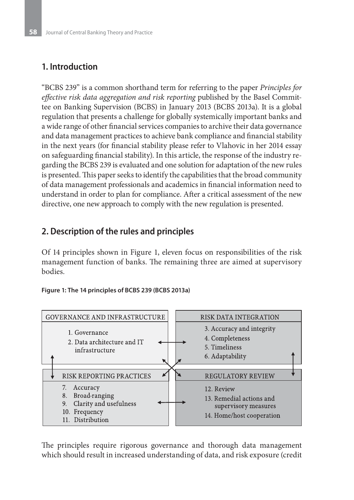## **1. Introduction**

"BCBS 239" is a common shorthand term for referring to the paper *Principles for effective risk data aggregation and risk reporting* published by the Basel Committee on Banking Supervision (BCBS) in January 2013 (BCBS 2013a). It is a global regulation that presents a challenge for globally systemically important banks and a wide range of other financial services companies to archive their data governance and data management practices to achieve bank compliance and financial stability in the next years (for financial stability please refer to Vlahovic in her 2014 essay on safeguarding financial stability). In this article, the response of the industry regarding the BCBS 239 is evaluated and one solution for adaptation of the new rules is presented. This paper seeks to identify the capabilities that the broad community of data management professionals and academics in financial information need to understand in order to plan for compliance. After a critical assessment of the new directive, one new approach to comply with the new regulation is presented.

# **2. Description of the rules and principles**

Of 14 principles shown in Figure 1, eleven focus on responsibilities of the risk management function of banks. The remaining three are aimed at supervisory bodies.





The principles require rigorous governance and thorough data management which should result in increased understanding of data, and risk exposure (credit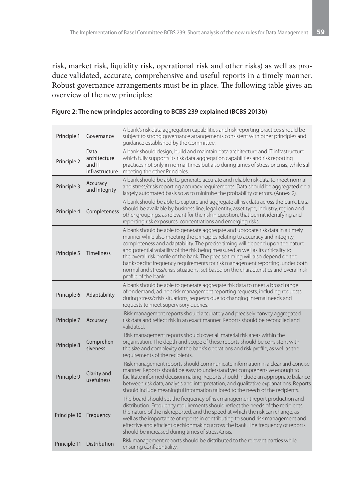risk, market risk, liquidity risk, operational risk and other risks) as well as produce validated, accurate, comprehensive and useful reports in a timely manner. Robust governance arrangements must be in place. The following table gives an overview of the new principles:

| Principle 1  | Governance                                       | A bank's risk data aggregation capabilities and risk reporting practices should be<br>subject to strong governance arrangements consistent with other principles and<br>guidance established by the Committee.                                                                                                                                                                                                                                                                                                                                                                                                              |
|--------------|--------------------------------------------------|-----------------------------------------------------------------------------------------------------------------------------------------------------------------------------------------------------------------------------------------------------------------------------------------------------------------------------------------------------------------------------------------------------------------------------------------------------------------------------------------------------------------------------------------------------------------------------------------------------------------------------|
| Principle 2  | Data<br>architecture<br>and IT<br>infrastructure | A bank should design, build and maintain data architecture and IT infrastructure<br>which fully supports its risk data aggregation capabilities and risk reporting<br>practices not only in normal times but also during times of stress or crisis, while still<br>meeting the other Principles.                                                                                                                                                                                                                                                                                                                            |
| Principle 3  | Accuracy<br>and Integrity                        | A bank should be able to generate accurate and reliable risk data to meet normal<br>and stress/crisis reporting accuracy requirements. Data should be aggregated on a<br>largely automated basis so as to minimise the probability of errors. (Annex 2).                                                                                                                                                                                                                                                                                                                                                                    |
| Principle 4  | Completeness                                     | A bank should be able to capture and aggregate all risk data across the bank. Data<br>should be available by business line, legal entity, asset type, industry, region and<br>other groupings, as relevant for the risk in question, that permit identifying and<br>reporting risk exposures, concentrations and emerging risks.                                                                                                                                                                                                                                                                                            |
| Principle 5  | <b>Timeliness</b>                                | A bank should be able to generate aggregate and uptodate risk data in a timely<br>manner while also meeting the principles relating to accuracy and integrity,<br>completeness and adaptability. The precise timing will depend upon the nature<br>and potential volatility of the risk being measured as well as its criticality to<br>the overall risk profile of the bank. The precise timing will also depend on the<br>bankspecific frequency requirements for risk management reporting, under both<br>normal and stress/crisis situations, set based on the characteristics and overall risk<br>profile of the bank. |
| Principle 6  | Adaptability                                     | A bank should be able to generate aggregate risk data to meet a broad range<br>of ondemand, ad hoc risk management reporting requests, including requests<br>during stress/crisis situations, requests due to changing internal needs and<br>requests to meet supervisory queries.                                                                                                                                                                                                                                                                                                                                          |
| Principle 7  | Accuracy                                         | Risk management reports should accurately and precisely convey aggregated<br>risk data and reflect risk in an exact manner. Reports should be reconciled and<br>validated.                                                                                                                                                                                                                                                                                                                                                                                                                                                  |
| Principle 8  | Comprehen-<br>siveness                           | Risk management reports should cover all material risk areas within the<br>organisation. The depth and scope of these reports should be consistent with<br>the size and complexity of the bank's operations and risk profile, as well as the<br>requirements of the recipients.                                                                                                                                                                                                                                                                                                                                             |
| Principle 9  | Clarity and<br>usefulness                        | Risk management reports should communicate information in a clear and concise<br>manner. Reports should be easy to understand yet comprehensive enough to<br>facilitate informed decisionmaking. Reports should include an appropriate balance<br>between risk data, analysis and interpretation, and qualitative explanations. Reports<br>should include meaningful information tailored to the needs of the recipients.                                                                                                                                                                                                   |
| Principle 10 | Frequency                                        | The board should set the frequency of risk management report production and<br>distribution. Frequency requirements should reflect the needs of the recipients,<br>the nature of the risk reported, and the speed at which the risk can change, as<br>well as the importance of reports in contributing to sound risk management and<br>effective and efficient decisionmaking across the bank. The frequency of reports<br>should be increased during times of stress/crisis.                                                                                                                                              |
| Principle 11 | Distribution                                     | Risk management reports should be distributed to the relevant parties while<br>ensuring confidentiality.                                                                                                                                                                                                                                                                                                                                                                                                                                                                                                                    |

|  | Figure 2: The new principles according to BCBS 239 explained (BCBS 2013b) |  |
|--|---------------------------------------------------------------------------|--|
|--|---------------------------------------------------------------------------|--|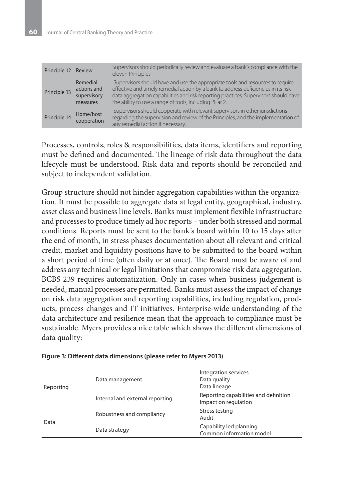| Principle 12 Review |                                                    | Supervisors should periodically review and evaluate a bank's compliance with the<br>eleven Principles                                                                                                                                                                                                                   |
|---------------------|----------------------------------------------------|-------------------------------------------------------------------------------------------------------------------------------------------------------------------------------------------------------------------------------------------------------------------------------------------------------------------------|
| Principle 13        | Remedial<br>actions and<br>supervisory<br>measures | Supervisors should have and use the appropriate tools and resources to require<br>effective and timely remedial action by a bank to address deficiencies in its risk<br>data aggregation capabilities and risk reporting practices. Supervisors should have<br>the ability to use a range of tools, including Pillar 2. |
| Principle 14        | Home/host<br>cooperation                           | Supervisors should cooperate with relevant supervisors in other jurisdictions<br>regarding the supervision and review of the Principles, and the implementation of<br>any remedial action if necessary.                                                                                                                 |

Processes, controls, roles & responsibilities, data items, identifiers and reporting must be defined and documented. The lineage of risk data throughout the data lifecycle must be understood. Risk data and reports should be reconciled and subject to independent validation.

Group structure should not hinder aggregation capabilities within the organization. It must be possible to aggregate data at legal entity, geographical, industry, asset class and business line levels. Banks must implement flexible infrastructure and processes to produce timely ad hoc reports – under both stressed and normal conditions. Reports must be sent to the bank's board within 10 to 15 days after the end of month, in stress phases documentation about all relevant and critical credit, market and liquidity positions have to be submitted to the board within a short period of time (often daily or at once). The Board must be aware of and address any technical or legal limitations that compromise risk data aggregation. BCBS 239 requires automatization. Only in cases when business judgement is needed, manual processes are permitted. Banks must assess the impact of change on risk data aggregation and reporting capabilities, including regulation, products, process changes and IT initiatives. Enterprise-wide understanding of the data architecture and resilience mean that the approach to compliance must be sustainable. Myers provides a nice table which shows the different dimensions of data quality:

| Reporting | Data management                 | Integration services<br>Data quality<br>Data lineage          |  |  |  |
|-----------|---------------------------------|---------------------------------------------------------------|--|--|--|
|           | Internal and external reporting | Reporting capabilities and definition<br>Impact on regulation |  |  |  |
|           | Robustness and compliancy       | Stress testing<br>Audit                                       |  |  |  |
| Data      | Data strategy                   | Capability led planning<br>Common information model           |  |  |  |

| Figure 3: Different data dimensions (please refer to Myers 2013) |  |  |  |
|------------------------------------------------------------------|--|--|--|
|                                                                  |  |  |  |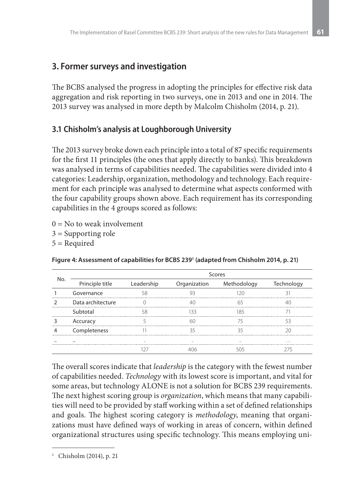# **3. Former surveys and investigation**

The BCBS analysed the progress in adopting the principles for effective risk data aggregation and risk reporting in two surveys, one in 2013 and one in 2014. The 2013 survey was analysed in more depth by Malcolm Chisholm (2014, p. 21).

### **3.1 Chisholm's analysis at Loughborough University**

The 2013 survey broke down each principle into a total of 87 specific requirements for the first 11 principles (the ones that apply directly to banks). This breakdown was analysed in terms of capabilities needed. The capabilities were divided into 4 categories: Leadership, organization, methodology and technology. Each requirement for each principle was analysed to determine what aspects conformed with the four capability groups shown above. Each requirement has its corresponding capabilities in the 4 groups scored as follows:

- $0 =$  No to weak involvement
- 3 = Supporting role
- 5 = Required

| No. | Scores            |                      |                      |             |                         |  |  |
|-----|-------------------|----------------------|----------------------|-------------|-------------------------|--|--|
|     | Principle title   | Leadership           | Organization         | Methodology | Technology              |  |  |
|     | Governance        | 58                   | 93                   | DO          | ς.                      |  |  |
|     | Data architecture |                      | 4()                  | 65          | 4(                      |  |  |
|     | Subtotal          | 58                   | 133                  | 185         |                         |  |  |
|     | Accuracy          |                      | hſ                   |             |                         |  |  |
|     | Completeness      |                      | 35                   | 35          |                         |  |  |
|     |                   | $\ddot{\phantom{a}}$ | $\ddot{\phantom{a}}$ |             | $\cdot$ $\cdot$ $\cdot$ |  |  |
|     |                   |                      |                      | 505         |                         |  |  |

**Figure 4: Assessment of capabilities for BCBS 2391 (adapted from Chisholm 2014, p. 21)**

The overall scores indicate that *leadership* is the category with the fewest number of capabilities needed. *Technology* with its lowest score is important, and vital for some areas, but technology ALONE is not a solution for BCBS 239 requirements. The next highest scoring group is *organization*, which means that many capabilities will need to be provided by staff working within a set of defined relationships and goals. The highest scoring category is *methodology*, meaning that organizations must have defined ways of working in areas of concern, within defined organizational structures using specific technology. This means employing uni-

<sup>1</sup> Chisholm (2014), p. 21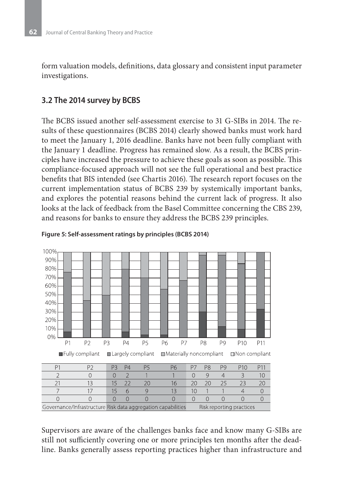form valuation models, definitions, data glossary and consistent input parameter investigations.

#### **3.2 The 2014 survey by BCBS**

The BCBS issued another self-assessment exercise to 31 G-SIBs in 2014. The results of these questionnaires (BCBS 2014) clearly showed banks must work hard to meet the January 1, 2016 deadline. Banks have not been fully compliant with the January 1 deadline. Progress has remained slow. As a result, the BCBS principles have increased the pressure to achieve these goals as soon as possible. This compliance-focused approach will not see the full operational and best practice benefits that BIS intended (see Chartis 2016). The research report focuses on the current implementation status of BCBS 239 by systemically important banks, and explores the potential reasons behind the current lack of progress. It also looks at the lack of feedback from the Basel Committee concerning the CBS 239, and reasons for banks to ensure they address the BCBS 239 principles.



#### **Figure 5: Self-assessment ratings by principles (BCBS 2014)**

Supervisors are aware of the challenges banks face and know many G-SIBs are still not sufficiently covering one or more principles ten months after the deadline. Banks generally assess reporting practices higher than infrastructure and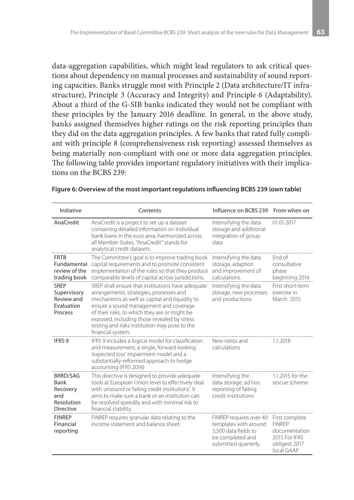data-aggregation capabilities, which might lead regulators to ask critical questions about dependency on manual processes and sustainability of sound reporting capacities. Banks struggle most with Principle 2 (Data architecture/IT infrastructure), Principle 3 (Accuracy and Integrity) and Principle 6 (Adaptability). About a third of the G-SIB banks indicated they would not be compliant with these principles by the January 2016 deadline. In general, in the above study, banks assigned themselves higher ratings on the risk reporting principles than they did on the data aggregation principles. A few banks that rated fully compliant with principle 8 (comprehensiveness risk reporting) assessed themselves as being materially non-compliant with one or more data aggregation principles. The following table provides important regulatory initiatives with their implications on the BCBS 239:

| Initiative                                                                   | Contents                                                                                                                                                                                                                                                                                                                                                       | Influence on BCBS 239                                                                                                | From when on                                                                                     |
|------------------------------------------------------------------------------|----------------------------------------------------------------------------------------------------------------------------------------------------------------------------------------------------------------------------------------------------------------------------------------------------------------------------------------------------------------|----------------------------------------------------------------------------------------------------------------------|--------------------------------------------------------------------------------------------------|
| AnaCredit                                                                    | AnaCredit is a project to set up a dataset<br>containing detailed information on individual<br>bank loans in the euro area, harmonized across<br>all Member States. "AnaCredit" stands for<br>analytical credit datasets.                                                                                                                                      | Intensifying the data<br>storage and additional<br>integration of group<br>data                                      | 01.01.2017                                                                                       |
| <b>FRTB</b><br>Fundamental<br>review of the<br>trading book                  | The Committee's goal is to improve trading book<br>capital requirements and to promote consistent<br>implementation of the rules so that they produce<br>comparable levels of capital across jurisdictions.                                                                                                                                                    | Intensifying the data<br>storage, adaption<br>and improvement of<br>calculations                                     | Fnd of<br>consultative<br>phase<br>beginning 2016                                                |
| <b>SREP</b><br>Supervisory<br>Review and<br>Evaluation<br>Process            | SREP shall ensure that institutions have adequate<br>arrangements, strategies, processes and<br>mechanisms as well as capital and liquidity to<br>ensure a sound management and coverage<br>of their risks, to which they are or might be<br>exposed, including those revealed by stress<br>testing and risks institution may pose to the<br>financial system. | Intensifying the data<br>storage, new processes<br>and productions                                                   | First short-term<br>exercise in<br>March 2015                                                    |
| IFRS 9                                                                       | IFRS 9 includes a logical model for classification<br>and measurement, a single, forward-looking<br>'expected loss' impairment model and a<br>substantially-reformed approach to hedge<br>accounting (IFRS 2016)                                                                                                                                               | New ratios and<br>calculations                                                                                       | 1.1.2018                                                                                         |
| <b>BRRD/SAG</b><br>Bank<br>Recovery<br>and<br>Resolution<br><b>Directive</b> | This directive is designed to provide adequate<br>tools at European Union level to effectively deal<br>with unsound or failing credit institutions'. It<br>aims to make sure a bank or an institution can<br>be resolved speedily and with minimal risk to<br>financial stability.                                                                             | Intensifying the<br>data storage, ad hoc<br>reporting of failing<br>credit institutions                              | 1.1.2015 for the<br>rescue scheme                                                                |
| <b>FINREP</b><br>Financial<br>reporting                                      | FINREP requires granular data relating to the<br>income statement and balance sheet.                                                                                                                                                                                                                                                                           | FINREP requires over 40<br>templates with around<br>3,500 data fields to<br>be completed and<br>submitted quarterly. | First complete<br><b>FINRFP</b><br>documentation<br>2015 For IFRS<br>obliged, 2017<br>local GAAP |

**Figure 6: Overview of the most important regulations influencing BCBS 239 (own table)**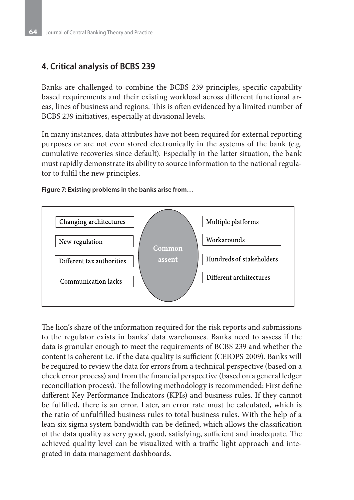### **4. Critical analysis of BCBS 239**

Banks are challenged to combine the BCBS 239 principles, specific capability based requirements and their existing workload across different functional areas, lines of business and regions. This is often evidenced by a limited number of BCBS 239 initiatives, especially at divisional levels.

In many instances, data attributes have not been required for external reporting purposes or are not even stored electronically in the systems of the bank (e.g. cumulative recoveries since default). Especially in the latter situation, the bank must rapidly demonstrate its ability to source information to the national regulator to fulfil the new principles.



#### **Figure 7: Existing problems in the banks arise from…**

The lion's share of the information required for the risk reports and submissions to the regulator exists in banks' data warehouses. Banks need to assess if the data is granular enough to meet the requirements of BCBS 239 and whether the content is coherent i.e. if the data quality is sufficient (CEIOPS 2009). Banks will be required to review the data for errors from a technical perspective (based on a check error process) and from the financial perspective (based on a general ledger reconciliation process). The following methodology is recommended: First define different Key Performance Indicators (KPIs) and business rules. If they cannot be fulfilled, there is an error. Later, an error rate must be calculated, which is the ratio of unfulfilled business rules to total business rules. With the help of a lean six sigma system bandwidth can be defined, which allows the classification of the data quality as very good, good, satisfying, sufficient and inadequate. The achieved quality level can be visualized with a traffic light approach and integrated in data management dashboards.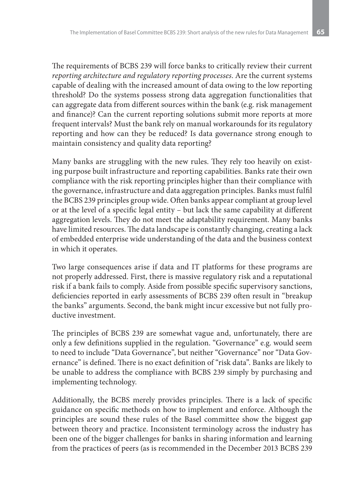The requirements of BCBS 239 will force banks to critically review their current *reporting architecture and regulatory reporting processes*. Are the current systems capable of dealing with the increased amount of data owing to the low reporting threshold? Do the systems possess strong data aggregation functionalities that can aggregate data from different sources within the bank (e.g. risk management and finance)? Can the current reporting solutions submit more reports at more frequent intervals? Must the bank rely on manual workarounds for its regulatory reporting and how can they be reduced? Is data governance strong enough to maintain consistency and quality data reporting?

Many banks are struggling with the new rules. They rely too heavily on existing purpose built infrastructure and reporting capabilities. Banks rate their own compliance with the risk reporting principles higher than their compliance with the governance, infrastructure and data aggregation principles. Banks must fulfil the BCBS 239 principles group wide. Often banks appear compliant at group level or at the level of a specific legal entity – but lack the same capability at different aggregation levels. They do not meet the adaptability requirement. Many banks have limited resources. The data landscape is constantly changing, creating a lack of embedded enterprise wide understanding of the data and the business context in which it operates.

Two large consequences arise if data and IT platforms for these programs are not properly addressed. First, there is massive regulatory risk and a reputational risk if a bank fails to comply. Aside from possible specific supervisory sanctions, deficiencies reported in early assessments of BCBS 239 often result in "breakup the banks" arguments. Second, the bank might incur excessive but not fully productive investment.

The principles of BCBS 239 are somewhat vague and, unfortunately, there are only a few definitions supplied in the regulation. "Governance" e.g. would seem to need to include "Data Governance", but neither "Governance" nor "Data Governance" is defined. There is no exact definition of "risk data". Banks are likely to be unable to address the compliance with BCBS 239 simply by purchasing and implementing technology.

Additionally, the BCBS merely provides principles. There is a lack of specific guidance on specific methods on how to implement and enforce. Although the principles are sound these rules of the Basel committee show the biggest gap between theory and practice. Inconsistent terminology across the industry has been one of the bigger challenges for banks in sharing information and learning from the practices of peers (as is recommended in the December 2013 BCBS 239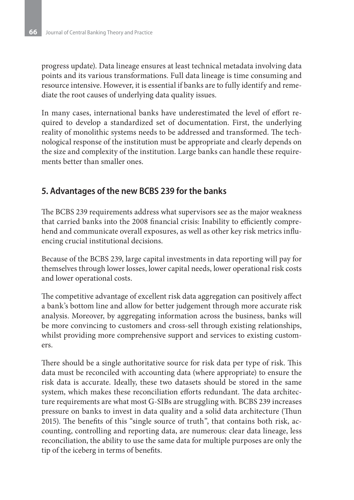progress update). Data lineage ensures at least technical metadata involving data points and its various transformations. Full data lineage is time consuming and resource intensive. However, it is essential if banks are to fully identify and remediate the root causes of underlying data quality issues.

In many cases, international banks have underestimated the level of effort required to develop a standardized set of documentation. First, the underlying reality of monolithic systems needs to be addressed and transformed. The technological response of the institution must be appropriate and clearly depends on the size and complexity of the institution. Large banks can handle these requirements better than smaller ones.

### **5. Advantages of the new BCBS 239 for the banks**

The BCBS 239 requirements address what supervisors see as the major weakness that carried banks into the 2008 financial crisis: Inability to efficiently comprehend and communicate overall exposures, as well as other key risk metrics influencing crucial institutional decisions.

Because of the BCBS 239, large capital investments in data reporting will pay for themselves through lower losses, lower capital needs, lower operational risk costs and lower operational costs.

The competitive advantage of excellent risk data aggregation can positively affect a bank's bottom line and allow for better judgement through more accurate risk analysis. Moreover, by aggregating information across the business, banks will be more convincing to customers and cross-sell through existing relationships, whilst providing more comprehensive support and services to existing customers.

There should be a single authoritative source for risk data per type of risk. This data must be reconciled with accounting data (where appropriate) to ensure the risk data is accurate. Ideally, these two datasets should be stored in the same system, which makes these reconciliation efforts redundant. The data architecture requirements are what most G-SIBs are struggling with. BCBS 239 increases pressure on banks to invest in data quality and a solid data architecture (Thun 2015). The benefits of this "single source of truth", that contains both risk, accounting, controlling and reporting data, are numerous: clear data lineage, less reconciliation, the ability to use the same data for multiple purposes are only the tip of the iceberg in terms of benefits.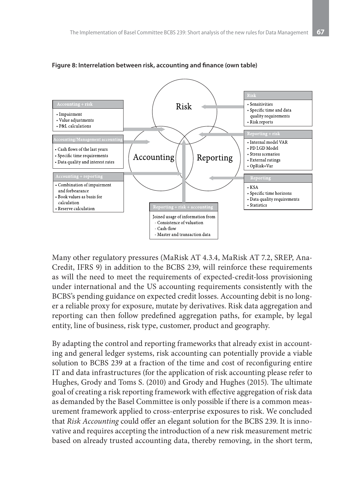

#### **Figure 8: Interrelation between risk, accounting and finance (own table)**

Many other regulatory pressures (MaRisk AT 4.3.4, MaRisk AT 7.2, SREP, Ana-Credit, IFRS 9) in addition to the BCBS 239, will reinforce these requirements as will the need to meet the requirements of expected-credit-loss provisioning under international and the US accounting requirements consistently with the BCBS's pending guidance on expected credit losses. Accounting debit is no longer a reliable proxy for exposure, mutate by derivatives. Risk data aggregation and reporting can then follow predefined aggregation paths, for example, by legal entity, line of business, risk type, customer, product and geography.

By adapting the control and reporting frameworks that already exist in accounting and general ledger systems, risk accounting can potentially provide a viable solution to BCBS 239 at a fraction of the time and cost of reconfiguring entire IT and data infrastructures (for the application of risk accounting please refer to Hughes, Grody and Toms S. (2010) and Grody and Hughes (2015). The ultimate goal of creating a risk reporting framework with effective aggregation of risk data as demanded by the Basel Committee is only possible if there is a common measurement framework applied to cross-enterprise exposures to risk. We concluded that *Risk Accounting* could offer an elegant solution for the BCBS 239. It is innovative and requires accepting the introduction of a new risk measurement metric based on already trusted accounting data, thereby removing, in the short term,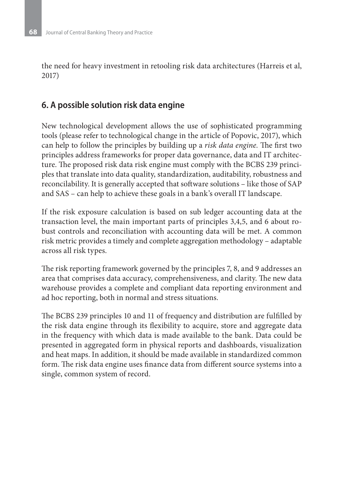the need for heavy investment in retooling risk data architectures (Harreis et al, 2017)

#### **6. A possible solution risk data engine**

New technological development allows the use of sophisticated programming tools (please refer to technological change in the article of Popovic, 2017), which can help to follow the principles by building up a *risk data engine.* The first two principles address frameworks for proper data governance, data and IT architecture. The proposed risk data risk engine must comply with the BCBS 239 principles that translate into data quality, standardization, auditability, robustness and reconcilability. It is generally accepted that software solutions – like those of SAP and SAS – can help to achieve these goals in a bank's overall IT landscape.

If the risk exposure calculation is based on sub ledger accounting data at the transaction level, the main important parts of principles 3,4,5, and 6 about robust controls and reconciliation with accounting data will be met. A common risk metric provides a timely and complete aggregation methodology – adaptable across all risk types.

The risk reporting framework governed by the principles 7, 8, and 9 addresses an area that comprises data accuracy, comprehensiveness, and clarity. The new data warehouse provides a complete and compliant data reporting environment and ad hoc reporting, both in normal and stress situations.

The BCBS 239 principles 10 and 11 of frequency and distribution are fulfilled by the risk data engine through its flexibility to acquire, store and aggregate data in the frequency with which data is made available to the bank. Data could be presented in aggregated form in physical reports and dashboards, visualization and heat maps. In addition, it should be made available in standardized common form. The risk data engine uses finance data from different source systems into a single, common system of record.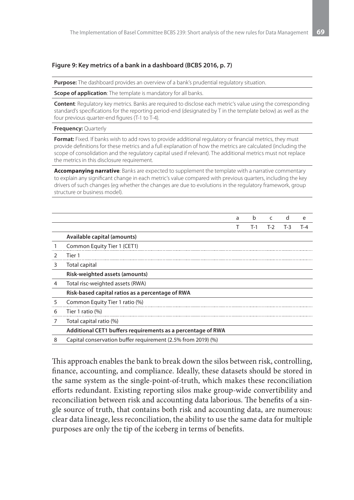#### **Figure 9: Key metrics of a bank in a dashboard (BCBS 2016, p. 7)**

**Purpose:** The dashboard provides an overview of a bank's prudential regulatory situation.

**Scope of application**: The template is mandatory for all banks.

**Content**: Regulatory key metrics. Banks are required to disclose each metric's value using the corresponding standard's specifications for the reporting period-end (designated by T in the template below) as well as the four previous quarter-end figures (T-1 to T-4).

**Frequency:** Quarterly

**Format:** Fixed. If banks wish to add rows to provide additional regulatory or financial metrics, they must provide definitions for these metrics and a full explanation of how the metrics are calculated (including the scope of consolidation and the regulatory capital used if relevant). The additional metrics must not replace the metrics in this disclosure requirement.

**Accompanying narrative**: Banks are expected to supplement the template with a narrative commentary to explain any significant change in each metric's value compared with previous quarters, including the key drivers of such changes (eg whether the changes are due to evolutions in the regulatory framework, group structure or business model).

|   |                                                              | a | b   | C   | d   | e   |
|---|--------------------------------------------------------------|---|-----|-----|-----|-----|
|   |                                                              |   | T-1 | T-2 | T-3 | T-4 |
|   | Available capital (amounts)                                  |   |     |     |     |     |
|   | Common Equity Tier 1 (CET1)                                  |   |     |     |     |     |
| 2 | Tier 1                                                       |   |     |     |     |     |
| 3 | <b>Total capital</b>                                         |   |     |     |     |     |
|   | Risk-weighted assets (amounts)                               |   |     |     |     |     |
| 4 | Total risc-weighted assets (RWA)                             |   |     |     |     |     |
|   | Risk-based capital ratios as a percentage of RWA             |   |     |     |     |     |
| 5 | Common Equity Tier 1 ratio (%)                               |   |     |     |     |     |
| 6 | Tier 1 ratio (%)                                             |   |     |     |     |     |
|   | Total capital ratio (%)                                      |   |     |     |     |     |
|   | Additional CET1 buffers requirements as a percentage of RWA  |   |     |     |     |     |
| 8 | Capital conservation buffer requirement (2.5% from 2019) (%) |   |     |     |     |     |

This approach enables the bank to break down the silos between risk, controlling, finance, accounting, and compliance. Ideally, these datasets should be stored in the same system as the single-point-of-truth, which makes these reconciliation efforts redundant. Existing reporting silos make group-wide convertibility and reconciliation between risk and accounting data laborious. The benefits of a single source of truth, that contains both risk and accounting data, are numerous: clear data lineage, less reconciliation, the ability to use the same data for multiple purposes are only the tip of the iceberg in terms of benefits.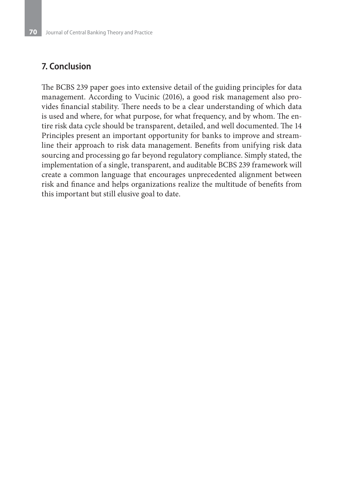### **7. Conclusion**

The BCBS 239 paper goes into extensive detail of the guiding principles for data management. According to Vucinic (2016), a good risk management also provides financial stability. There needs to be a clear understanding of which data is used and where, for what purpose, for what frequency, and by whom. The entire risk data cycle should be transparent, detailed, and well documented. The 14 Principles present an important opportunity for banks to improve and streamline their approach to risk data management. Benefits from unifying risk data sourcing and processing go far beyond regulatory compliance. Simply stated, the implementation of a single, transparent, and auditable BCBS 239 framework will create a common language that encourages unprecedented alignment between risk and finance and helps organizations realize the multitude of benefits from this important but still elusive goal to date.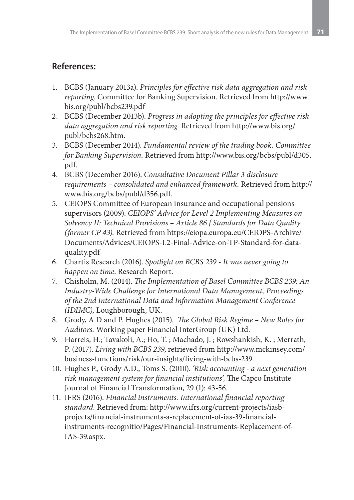# **References:**

- 1. BCBS (January 2013a). *Principles for effective risk data aggregation and risk reporting.* Committee for Banking Supervision. Retrieved from http://www. bis.org/publ/bcbs239.pdf
- 2. BCBS (December 2013b). *Progress in adopting the principles for effective risk data aggregation and risk reporting.* Retrieved from http://www.bis.org/ publ/bcbs268.htm.
- 3. BCBS (December 2014). *Fundamental review of the trading book. Committee for Banking Supervision.* Retrieved from http://www.bis.org/bcbs/publ/d305. pdf.
- 4. BCBS (December 2016). *Consultative Document Pillar 3 disclosure requirements – consolidated and enhanced framework.* Retrieved from http:// www.bis.org/bcbs/publ/d356.pdf.
- 5. CEIOPS Committee of European insurance and occupational pensions supervisors (2009). *CEIOPS' Advice for Level 2 Implementing Measures on Solvency II: Technical Provisions – Article 86 f Standards for Data Quality (former CP 43).* Retrieved from https://eiopa.europa.eu/CEIOPS-Archive/ Documents/Advices/CEIOPS-L2-Final-Advice-on-TP-Standard-for-dataquality.pdf
- 6. Chartis Research (2016). *Spotlight on BCBS 239 It was never going to happen on time*. Research Report.
- 7. Chisholm, M. (2014). *The Implementation of Basel Committee BCBS 239: An Industry-Wide Challenge for International Data Management, Proceedings of the 2nd International Data and Information Management Conference (IDIMC),* Loughborough, UK.
- 8. Grody, A.D and P. Hughes (2015). *The Global Risk Regime New Roles for Auditors.* Working paper Financial InterGroup (UK) Ltd.
- 9. Harreis, H.; Tavakoli, A.; Ho, T. ; Machado, J. ; Rowshankish, K. ; Merrath, P. (2017). *Living with BCBS 239*, retrieved from http://www.mckinsey.com/ business-functions/risk/our-insights/living-with-bcbs-239.
- 10. Hughes P., Grody A.D., Toms S. (2010). *'Risk accounting a next generation risk management system for financial institutions',* The Capco Institute Journal of Financial Transformation, 29 (1): 43-56.
- 11. IFRS (2016). *Financial instruments. International financial reporting standard.* Retrieved from: http://www.ifrs.org/current-projects/iasbprojects/financial-instruments-a-replacement-of-ias-39-financialinstruments-recognitio/Pages/Financial-Instruments-Replacement-of-IAS-39.aspx.